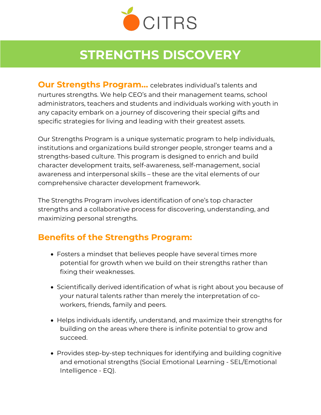

## **STRENGTHS DISCOVERY**

**Our Strengths Program...** celebrates individual's talents and nurtures strengths. We help CEO's and their management teams, school administrators, teachers and students and individuals working with youth in any capacity embark on a journey of discovering their special gifts and specific strategies for living and leading with their greatest assets.

Our Strengths Program is a unique systematic program to help individuals, institutions and organizations build stronger people, stronger teams and a strengths-based culture. This program is designed to enrich and build character development traits, self-awareness, self-management, social awareness and interpersonal skills – these are the vital elements of our comprehensive character development framework.

The Strengths Program involves identification of one's top character strengths and a collaborative process for discovering, understanding, and maximizing personal strengths.

## **Benefits of the Strengths Program:**

- Fosters a mindset that believes people have several times more potential for growth when we build on their strengths rather than fixing their weaknesses.
- Scientifically derived identification of what is right about you because of your natural talents rather than merely the interpretation of coworkers, friends, family and peers.
- Helps individuals identify, understand, and maximize their strengths for building on the areas where there is infinite potential to grow and succeed.
- Provides step-by-step techniques for identifying and building cognitive and emotional strengths (Social Emotional Learning - SEL/Emotional Intelligence - EQ).